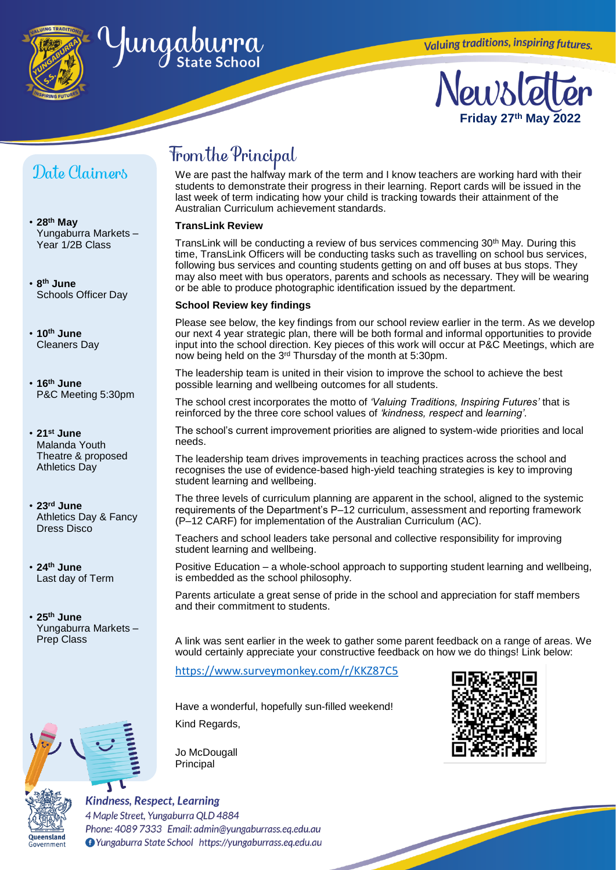

## ungaburra

# **Friday 27 th May 2022**

### Date Claimers

- **28th May** Yungaburra Markets – Year 1/2B Class
- **8 th June** Schools Officer Day
- **10th June** Cleaners Day
- **16th June** P&C Meeting 5:30pm
- **21st June** Malanda Youth Theatre & proposed Athletics Day
- **23rd June** Athletics Day & Fancy Dress Disco
- **24th June** Last day of Term
- **25th June** Yungaburra Markets – Prep Class





Government

## From the Principal

We are past the halfway mark of the term and I know teachers are working hard with their students to demonstrate their progress in their learning. Report cards will be issued in the last week of term indicating how your child is tracking towards their attainment of the Australian Curriculum achievement standards.

#### **TransLink Review**

TransLink will be conducting a review of bus services commencing 30<sup>th</sup> May. During this time, TransLink Officers will be conducting tasks such as travelling on school bus services, following bus services and counting students getting on and off buses at bus stops. They may also meet with bus operators, parents and schools as necessary. They will be wearing or be able to produce photographic identification issued by the department.

#### **School Review key findings**

Please see below, the key findings from our school review earlier in the term. As we develop our next 4 year strategic plan, there will be both formal and informal opportunities to provide input into the school direction. Key pieces of this work will occur at P&C Meetings, which are now being held on the 3rd Thursday of the month at 5:30pm.

The leadership team is united in their vision to improve the school to achieve the best possible learning and wellbeing outcomes for all students.

The school crest incorporates the motto of *'Valuing Traditions, Inspiring Futures'* that is reinforced by the three core school values of *'kindness, respect* and *learning'*.

The school's current improvement priorities are aligned to system-wide priorities and local needs.

The leadership team drives improvements in teaching practices across the school and recognises the use of evidence-based high-yield teaching strategies is key to improving student learning and wellbeing.

The three levels of curriculum planning are apparent in the school, aligned to the systemic requirements of the Department's P–12 curriculum, assessment and reporting framework (P–12 CARF) for implementation of the Australian Curriculum (AC).

Teachers and school leaders take personal and collective responsibility for improving student learning and wellbeing.

Positive Education – a whole-school approach to supporting student learning and wellbeing, is embedded as the school philosophy.

Parents articulate a great sense of pride in the school and appreciation for staff members and their commitment to students.

A link was sent earlier in the week to gather some parent feedback on a range of areas. We would certainly appreciate your constructive feedback on how we do things! Link below:

<https://www.surveymonkey.com/r/KKZ87C5>

Have a wonderful, hopefully sun-filled weekend! Kind Regards,





#### **Kindness, Respect, Learning** 4 Maple Street, Yungaburra QLD 4884 Phone: 4089 7333 Email: admin@yungaburrass.eq.edu.au O Yungaburra State School https://yungaburrass.eq.edu.au